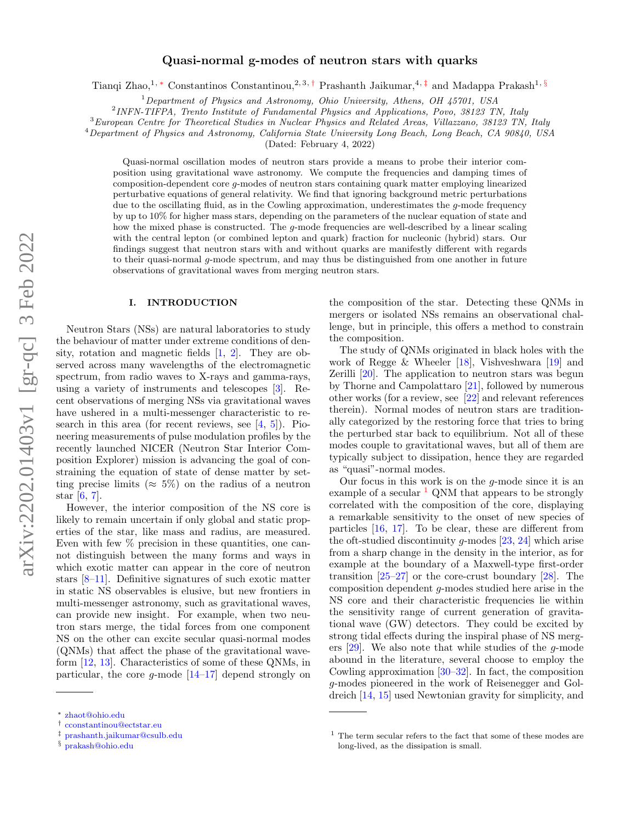# arXiv:2202.01403v1 [gr-qc] 3 Feb 2022 arXiv:2202.01403v1 [gr-qc] 3 Feb 2022

# Quasi-normal g-modes of neutron stars with quarks

Tianqi Zhao,<sup>1, [∗](#page-0-0)</sup> Constantinos Constantinou,<sup>2, 3,[†](#page-0-1)</sup> Prashanth Jaikumar,<sup>4,[‡](#page-0-2)</sup> and Madappa Prakash<sup>1, [§](#page-0-3)</sup>

 $1$ Department of Physics and Astronomy, Ohio University, Athens, OH 45701, USA

<sup>2</sup>INFN-TIFPA, Trento Institute of Fundamental Physics and Applications, Povo, 38123 TN, Italy

<sup>3</sup>European Centre for Theoretical Studies in Nuclear Physics and Related Areas, Villazzano, 38123 TN, Italy

<sup>4</sup>Department of Physics and Astronomy, California State University Long Beach, Long Beach, CA 90840, USA

(Dated: February 4, 2022)

Quasi-normal oscillation modes of neutron stars provide a means to probe their interior composition using gravitational wave astronomy. We compute the frequencies and damping times of composition-dependent core g-modes of neutron stars containing quark matter employing linearized perturbative equations of general relativity. We find that ignoring background metric perturbations due to the oscillating fluid, as in the Cowling approximation, underestimates the g-mode frequency by up to 10% for higher mass stars, depending on the parameters of the nuclear equation of state and how the mixed phase is constructed. The  $q$ -mode frequencies are well-described by a linear scaling with the central lepton (or combined lepton and quark) fraction for nucleonic (hybrid) stars. Our findings suggest that neutron stars with and without quarks are manifestly different with regards to their quasi-normal  $q$ -mode spectrum, and may thus be distinguished from one another in future observations of gravitational waves from merging neutron stars.

# I. INTRODUCTION

Neutron Stars (NSs) are natural laboratories to study the behaviour of matter under extreme conditions of density, rotation and magnetic fields [\[1,](#page-12-0) [2\]](#page-12-1). They are observed across many wavelengths of the electromagnetic spectrum, from radio waves to X-rays and gamma-rays, using a variety of instruments and telescopes [\[3\]](#page-12-2). Recent observations of merging NSs via gravitational waves have ushered in a multi-messenger characteristic to research in this area (for recent reviews, see [\[4,](#page-12-3) [5\]](#page-12-4)). Pioneering measurements of pulse modulation profiles by the recently launched NICER (Neutron Star Interior Composition Explorer) mission is advancing the goal of constraining the equation of state of dense matter by setting precise limits ( $\approx 5\%$ ) on the radius of a neutron star  $[6, 7]$  $[6, 7]$  $[6, 7]$ .

However, the interior composition of the NS core is likely to remain uncertain if only global and static properties of the star, like mass and radius, are measured. Even with few % precision in these quantities, one cannot distinguish between the many forms and ways in which exotic matter can appear in the core of neutron stars [\[8](#page-12-7)[–11\]](#page-12-8). Definitive signatures of such exotic matter in static NS observables is elusive, but new frontiers in multi-messenger astronomy, such as gravitational waves, can provide new insight. For example, when two neutron stars merge, the tidal forces from one component NS on the other can excite secular quasi-normal modes (QNMs) that affect the phase of the gravitational waveform [\[12,](#page-12-9) [13\]](#page-12-10). Characteristics of some of these QNMs, in particular, the core  $g$ -mode  $[14-17]$  $[14-17]$  depend strongly on the composition of the star. Detecting these QNMs in mergers or isolated NSs remains an observational challenge, but in principle, this offers a method to constrain the composition.

The study of QNMs originated in black holes with the work of Regge & Wheeler  $[18]$ , Vishveshwara  $[19]$  and Zerilli [\[20\]](#page-12-15). The application to neutron stars was begun by Thorne and Campolattaro [\[21\]](#page-12-16), followed by numerous other works (for a review, see [\[22\]](#page-12-17) and relevant references therein). Normal modes of neutron stars are traditionally categorized by the restoring force that tries to bring the perturbed star back to equilibrium. Not all of these modes couple to gravitational waves, but all of them are typically subject to dissipation, hence they are regarded as "quasi"-normal modes.

Our focus in this work is on the  $g$ -mode since it is an example of a secular  $\frac{1}{2}$  $\frac{1}{2}$  $\frac{1}{2}$  QNM that appears to be strongly correlated with the composition of the core, displaying a remarkable sensitivity to the onset of new species of particles [\[16,](#page-12-18) [17\]](#page-12-12). To be clear, these are different from the oft-studied discontinuity q-modes  $[23, 24]$  $[23, 24]$  $[23, 24]$  which arise from a sharp change in the density in the interior, as for example at the boundary of a Maxwell-type first-order transition  $[25-27]$  $[25-27]$  or the core-crust boundary  $[28]$ . The composition dependent g-modes studied here arise in the NS core and their characteristic frequencies lie within the sensitivity range of current generation of gravitational wave (GW) detectors. They could be excited by strong tidal effects during the inspiral phase of NS mergers [\[29\]](#page-12-24). We also note that while studies of the g-mode abound in the literature, several choose to employ the Cowling approximation  $[30-32]$  $[30-32]$ . In fact, the composition g-modes pioneered in the work of Reisenegger and Goldreich [\[14,](#page-12-11) [15\]](#page-12-27) used Newtonian gravity for simplicity, and

<span id="page-0-0"></span><sup>∗</sup> [zhaot@ohio.edu](mailto:zhaot@ohio.edu)

<span id="page-0-1"></span><sup>†</sup> [cconstantinou@ectstar.eu](mailto:cconstantinou@ectstar.eu)

<span id="page-0-2"></span><sup>‡</sup> [prashanth.jaikumar@csulb.edu](mailto:prashanth.jaikumar@csulb.edu)

<span id="page-0-3"></span><sup>§</sup> [prakash@ohio.edu](mailto:prakash@ohio.edu)

<span id="page-0-4"></span> $1$  The term secular refers to the fact that some of these modes are long-lived, as the dissipation is small.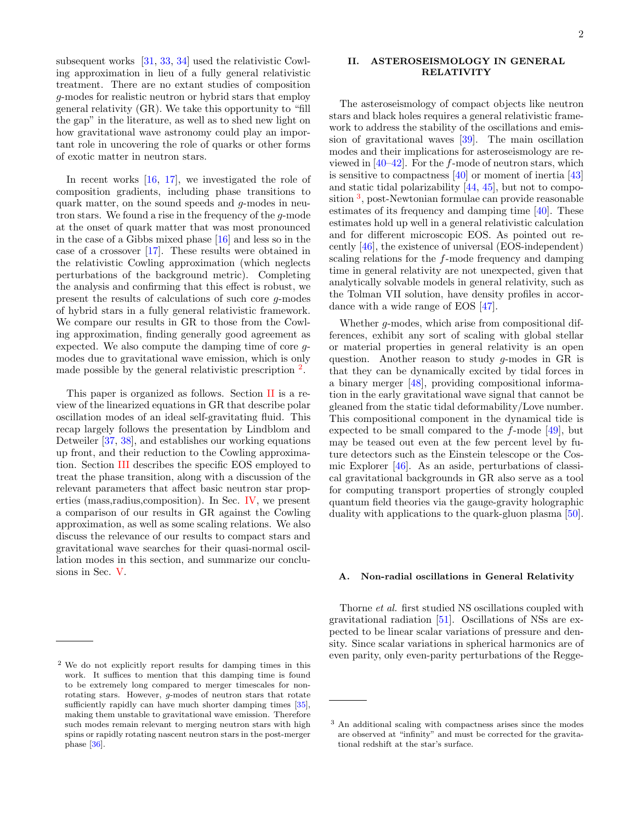subsequent works [\[31,](#page-12-28) [33,](#page-12-29) [34\]](#page-12-30) used the relativistic Cowling approximation in lieu of a fully general relativistic treatment. There are no extant studies of composition g-modes for realistic neutron or hybrid stars that employ general relativity (GR). We take this opportunity to "fill the gap" in the literature, as well as to shed new light on how gravitational wave astronomy could play an important role in uncovering the role of quarks or other forms of exotic matter in neutron stars.

In recent works [\[16,](#page-12-18) [17\]](#page-12-12), we investigated the role of composition gradients, including phase transitions to quark matter, on the sound speeds and  $q$ -modes in neutron stars. We found a rise in the frequency of the g-mode at the onset of quark matter that was most pronounced in the case of a Gibbs mixed phase [\[16\]](#page-12-18) and less so in the case of a crossover [\[17\]](#page-12-12). These results were obtained in the relativistic Cowling approximation (which neglects perturbations of the background metric). Completing the analysis and confirming that this effect is robust, we present the results of calculations of such core g-modes of hybrid stars in a fully general relativistic framework. We compare our results in GR to those from the Cowling approximation, finding generally good agreement as expected. We also compute the damping time of core gmodes due to gravitational wave emission, which is only made possible by the general relativistic prescription  $^2$  $^2$ .

This paper is organized as follows. Section [II](#page-1-1) is a review of the linearized equations in GR that describe polar oscillation modes of an ideal self-gravitating fluid. This recap largely follows the presentation by Lindblom and Detweiler [\[37,](#page-12-31) [38\]](#page-12-32), and establishes our working equations up front, and their reduction to the Cowling approximation. Section [III](#page-4-0) describes the specific EOS employed to treat the phase transition, along with a discussion of the relevant parameters that affect basic neutron star properties (mass,radius,composition). In Sec. [IV,](#page-6-0) we present a comparison of our results in GR against the Cowling approximation, as well as some scaling relations. We also discuss the relevance of our results to compact stars and gravitational wave searches for their quasi-normal oscillation modes in this section, and summarize our conclusions in Sec. [V.](#page-11-0)

# <span id="page-1-1"></span>II. ASTEROSEISMOLOGY IN GENERAL RELATIVITY

The asteroseismology of compact objects like neutron stars and black holes requires a general relativistic framework to address the stability of the oscillations and emission of gravitational waves [\[39\]](#page-12-35). The main oscillation modes and their implications for asteroseismology are reviewed in  $[40-42]$  $[40-42]$ . For the f-mode of neutron stars, which is sensitive to compactness [\[40\]](#page-12-36) or moment of inertia [\[43\]](#page-12-38) and static tidal polarizability [\[44,](#page-13-0) [45\]](#page-13-1), but not to compo-sition<sup>[3](#page-1-2)</sup>, post-Newtonian formulae can provide reasonable estimates of its frequency and damping time [\[40\]](#page-12-36). These estimates hold up well in a general relativistic calculation and for different microscopic EOS. As pointed out recently [\[46\]](#page-13-2), the existence of universal (EOS-independent) scaling relations for the f-mode frequency and damping time in general relativity are not unexpected, given that analytically solvable models in general relativity, such as the Tolman VII solution, have density profiles in accordance with a wide range of EOS [\[47\]](#page-13-3).

Whether g-modes, which arise from compositional differences, exhibit any sort of scaling with global stellar or material properties in general relativity is an open question. Another reason to study g-modes in GR is that they can be dynamically excited by tidal forces in a binary merger [\[48\]](#page-13-4), providing compositional information in the early gravitational wave signal that cannot be gleaned from the static tidal deformability/Love number. This compositional component in the dynamical tide is expected to be small compared to the f-mode [\[49\]](#page-13-5), but may be teased out even at the few percent level by future detectors such as the Einstein telescope or the Cosmic Explorer [\[46\]](#page-13-2). As an aside, perturbations of classical gravitational backgrounds in GR also serve as a tool for computing transport properties of strongly coupled quantum field theories via the gauge-gravity holographic duality with applications to the quark-gluon plasma [\[50\]](#page-13-6).

# A. Non-radial oscillations in General Relativity

Thorne et al. first studied NS oscillations coupled with gravitational radiation [\[51\]](#page-13-7). Oscillations of NSs are expected to be linear scalar variations of pressure and density. Since scalar variations in spherical harmonics are of even parity, only even-parity perturbations of the Regge-

<span id="page-1-0"></span><sup>2</sup> We do not explicitly report results for damping times in this work. It suffices to mention that this damping time is found to be extremely long compared to merger timescales for nonrotating stars. However, g-modes of neutron stars that rotate sufficiently rapidly can have much shorter damping times [\[35\]](#page-12-33), making them unstable to gravitational wave emission. Therefore such modes remain relevant to merging neutron stars with high spins or rapidly rotating nascent neutron stars in the post-merger phase [\[36\]](#page-12-34).

<span id="page-1-2"></span><sup>3</sup> An additional scaling with compactness arises since the modes are observed at "infinity" and must be corrected for the gravitational redshift at the star's surface.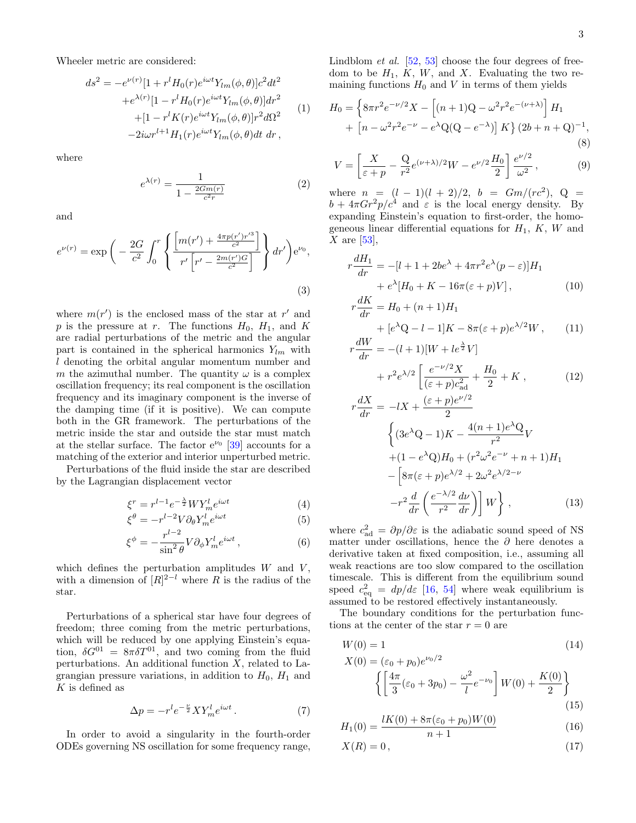Wheeler metric are considered:

$$
ds^{2} = -e^{\nu(r)}[1 + r^{l}H_{0}(r)e^{i\omega t}Y_{lm}(\phi,\theta)]c^{2}dt^{2}
$$

$$
+e^{\lambda(r)}[1 - r^{l}H_{0}(r)e^{i\omega t}Y_{lm}(\phi,\theta)]dr^{2}
$$

$$
+ [1 - r^{l}K(r)e^{i\omega t}Y_{lm}(\phi,\theta)]r^{2}d\Omega^{2}
$$

$$
-2i\omega r^{l+1}H_{1}(r)e^{i\omega t}Y_{lm}(\phi,\theta)dt dr,
$$
 (1)

where

$$
e^{\lambda(r)} = \frac{1}{1 - \frac{2Gm(r)}{c^2r}}
$$
 (2)

and

$$
e^{\nu(r)} = \exp\bigg(-\frac{2G}{c^2} \int_0^r \left\{ \frac{\left[m(r') + \frac{4\pi p(r')r'^3}{c^2}\right]}{r'\left[r' - \frac{2m(r')G}{c^2}\right]} \right\} dr'\bigg)e^{\nu_0},\tag{3}
$$

where  $m(r')$  is the enclosed mass of the star at r' and p is the pressure at r. The functions  $H_0$ ,  $H_1$ , and K are radial perturbations of the metric and the angular part is contained in the spherical harmonics  $Y_{lm}$  with l denoting the orbital angular momentum number and m the azimuthal number. The quantity  $\omega$  is a complex oscillation frequency; its real component is the oscillation frequency and its imaginary component is the inverse of the damping time (if it is positive). We can compute both in the GR framework. The perturbations of the metric inside the star and outside the star must match at the stellar surface. The factor  $e^{\nu_0}$  [\[39\]](#page-12-35) accounts for a matching of the exterior and interior unperturbed metric.

Perturbations of the fluid inside the star are described by the Lagrangian displacement vector

<span id="page-2-4"></span>
$$
\xi^r = r^{l-1} e^{-\frac{\lambda}{2}} W Y_m^l e^{i\omega t} \tag{4}
$$

$$
\xi^{\theta} = -r^{l-2} V \partial_{\theta} Y_m^l e^{i\omega t}
$$
 (5)

$$
\xi^{\phi} = -\frac{r^{l-2}}{\sin^2 \theta} V \partial_{\phi} Y_m^l e^{i\omega t}, \qquad (6)
$$

which defines the perturbation amplitudes  $W$  and  $V$ , with a dimension of  $[R]^{2-l}$  where R is the radius of the star.

Perturbations of a spherical star have four degrees of freedom; three coming from the metric perturbations, which will be reduced by one applying Einstein's equation,  $\delta G^{01} = 8\pi \delta T^{01}$ , and two coming from the fluid perturbations. An additional function  $X$ , related to Lagrangian pressure variations, in addition to  $H_0$ ,  $H_1$  and K is defined as

$$
\Delta p = -r^l e^{-\frac{\nu}{2}} X Y_m^l e^{i\omega t} \,. \tag{7}
$$

In order to avoid a singularity in the fourth-order ODEs governing NS oscillation for some frequency range,

Lindblom *et al.*  $[52, 53]$  $[52, 53]$  $[52, 53]$  choose the four degrees of freedom to be  $H_1$ ,  $K$ ,  $W$ , and  $X$ . Evaluating the two remaining functions  $H_0$  and V in terms of them yields

<span id="page-2-0"></span>
$$
H_0 = \left\{ 8\pi r^2 e^{-\nu/2} X - \left[ (n+1)Q - \omega^2 r^2 e^{-(\nu+\lambda)} \right] H_1 + \left[ n - \omega^2 r^2 e^{-\nu} - e^{\lambda} Q(Q - e^{-\lambda}) \right] K \right\} (2b + n + Q)^{-1},
$$
\n(8)

$$
V = \left[\frac{X}{\varepsilon + p} - \frac{Q}{r^2} e^{(\nu + \lambda)/2} W - e^{\nu/2} \frac{H_0}{2}\right] \frac{e^{\nu/2}}{\omega^2},\tag{9}
$$

where  $n = (l - 1)(l + 2)/2$ ,  $b = Gm/(rc^2)$ ,  $Q =$  $b + 4\pi G r^2 p/c^4$  and  $\varepsilon$  is the local energy density. By expanding Einstein's equation to first-order, the homogeneous linear differential equations for  $H_1$ ,  $K$ ,  $W$  and X are  $[53]$ ,

 $\ddot{\phantom{1}}$ 

r

<span id="page-2-2"></span><span id="page-2-1"></span>
$$
r\frac{dH_1}{dr} = -[l + 1 + 2be^{\lambda} + 4\pi r^2 e^{\lambda}(p - \varepsilon)]H_1
$$
  
+  $e^{\lambda}[H_0 + K - 16\pi(\varepsilon + p)V],$  (10)  

$$
r\frac{dK}{dr} = H_0 + (n+1)H_1
$$

$$
\frac{dX}{dr} = H_0 + (n+1)H_1
$$
  
+ 
$$
[e^{\lambda}Q - l - 1]K - 8\pi(\varepsilon + p)e^{\lambda/2}W,
$$
 (11)  
dW

$$
\frac{dW}{dr} = -(l+1)[W + le^{\frac{\lambda}{2}}V] + r^{2}e^{\lambda/2} \left[ \frac{e^{-\nu/2}X}{(\varepsilon + p)c_{\text{ad}}^{2}} + \frac{H_{0}}{2} + K , \right]
$$
(12)

$$
r\frac{dX}{dr} = -lX + \frac{(\varepsilon + p)e^{\nu/2}}{2}
$$

$$
\begin{cases} (3e^{\lambda}Q - 1)K - \frac{4(n+1)e^{\lambda}Q}{r^2}V \\ + (1 - e^{\lambda}Q)H_0 + (r^2\omega^2e^{-\nu} + n + 1)H_1 \end{cases}
$$

$$
- \left[8\pi(\varepsilon + p)e^{\lambda/2} + 2\omega^2e^{\lambda/2 - \nu} - r^2\frac{d}{dr}\left(\frac{e^{-\lambda/2}}{r^2}\frac{d\nu}{dr}\right)\right]W\Bigg\}, \qquad (13)
$$

where  $c_{\text{ad}}^2 = \partial p/\partial \varepsilon$  is the adiabatic sound speed of NS matter under oscillations, hence the  $\partial$  here denotes a derivative taken at fixed composition, i.e., assuming all weak reactions are too slow compared to the oscillation timescale. This is different from the equilibrium sound speed  $c_{\text{eq}}^2 = dp/d\varepsilon$  [\[16,](#page-12-18) [54\]](#page-13-10) where weak equilibrium is assumed to be restored effectively instantaneously.

The boundary conditions for the perturbation functions at the center of the star  $r = 0$  are

<span id="page-2-3"></span>
$$
W(0) = 1
$$
\n
$$
X(0) = (\varepsilon_0 + p_0)e^{\nu_0/2}
$$
\n
$$
\left\{ \left[ \frac{4\pi}{3} (\varepsilon_0 + 3p_0) - \frac{\omega^2}{l} e^{-\nu_0} \right] W(0) + \frac{K(0)}{2} \right\}
$$
\n(14)

$$
H_1(0) = \frac{lK(0) + 8\pi(\varepsilon_0 + p_0)W(0)}{n+1}
$$
\n(16)

$$
X(R) = 0, \t\t(17)
$$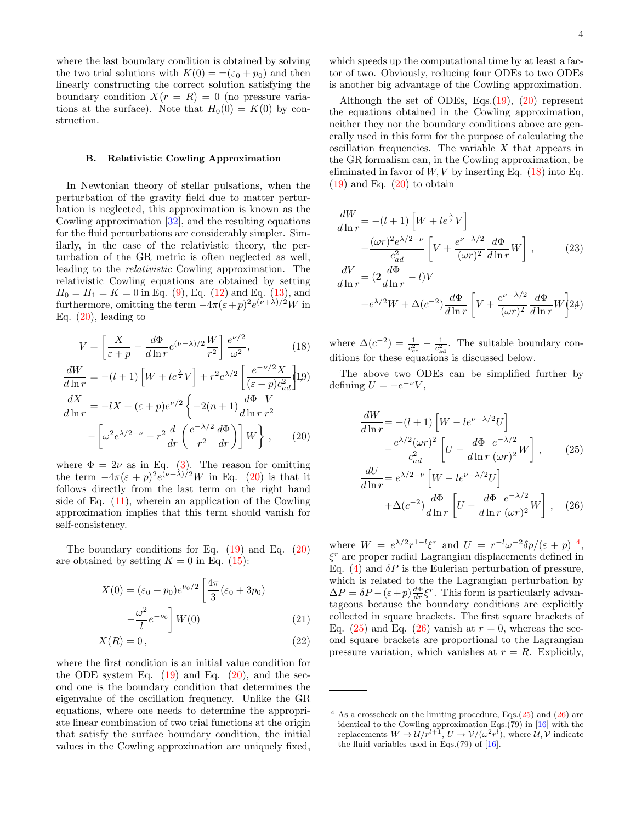where the last boundary condition is obtained by solving the two trial solutions with  $K(0) = \pm(\varepsilon_0 + p_0)$  and then linearly constructing the correct solution satisfying the boundary condition  $X(r = R) = 0$  (no pressure variations at the surface). Note that  $H_0(0) = K(0)$  by construction.

# B. Relativistic Cowling Approximation

In Newtonian theory of stellar pulsations, when the perturbation of the gravity field due to matter perturbation is neglected, this approximation is known as the Cowling approximation [\[32\]](#page-12-26), and the resulting equations for the fluid perturbations are considerably simpler. Similarly, in the case of the relativistic theory, the perturbation of the GR metric is often neglected as well, leading to the relativistic Cowling approximation. The relativistic Cowling equations are obtained by setting  $H_0 = H_1 = K = 0$  in Eq. [\(9\)](#page-2-0), Eq. [\(12\)](#page-2-1) and Eq. [\(13\)](#page-2-1), and furthermore, omitting the term  $-4\pi(\varepsilon+p)^2e^{(\nu+\lambda)/2}W$  in Eq. [\(20\)](#page-3-0), leading to

<span id="page-3-0"></span>
$$
V = \left[\frac{X}{\varepsilon + p} - \frac{d\Phi}{d\ln r} e^{(\nu - \lambda)/2} \frac{W}{r^2}\right] \frac{e^{\nu/2}}{\omega^2},\tag{18}
$$

$$
\frac{dW}{d\ln r} = -(l+1)\left[W + le^{\frac{\lambda}{2}}V\right] + r^2 e^{\lambda/2} \left[\frac{e^{-\nu/2}X}{(\varepsilon + p)c_{ad}^2}\right]1.9)
$$

$$
\frac{dX}{d\ln r} = -lX + (\varepsilon + p)e^{\nu/2} \left\{-2(n+1)\frac{d\Phi}{d\ln r}\frac{V}{r^2}\right\}
$$

$$
-\left[\omega^2 e^{\lambda/2 - \nu} - r^2 \frac{d}{dr}\left(\frac{e^{-\lambda/2}}{r^2}\frac{d\Phi}{dr}\right)\right]W\right\}, \qquad (20)
$$

where  $\Phi = 2\nu$  as in Eq. [\(3\)](#page-2-2). The reason for omitting the term  $-4\pi(\varepsilon+p)^2e^{(\nu+\lambda)/2}W$  in Eq. [\(20\)](#page-3-0) is that it follows directly from the last term on the right hand side of Eq.  $(11)$ , wherein an application of the Cowling approximation implies that this term should vanish for self-consistency.

The boundary conditions for Eq. [\(19\)](#page-3-0) and Eq. [\(20\)](#page-3-0) are obtained by setting  $K = 0$  in Eq. [\(15\)](#page-2-3):

$$
X(0) = (\varepsilon_0 + p_0)e^{\nu_0/2} \left[ \frac{4\pi}{3} (\varepsilon_0 + 3p_0) - \frac{\omega^2}{l} e^{-\nu_0} \right] W(0)
$$
 (21)

$$
X(R) = 0, \t\t(22)
$$

where the first condition is an initial value condition for the ODE system Eq.  $(19)$  and Eq.  $(20)$ , and the second one is the boundary condition that determines the eigenvalue of the oscillation frequency. Unlike the GR equations, where one needs to determine the appropriate linear combination of two trial functions at the origin that satisfy the surface boundary condition, the initial values in the Cowling approximation are uniquely fixed,

which speeds up the computational time by at least a factor of two. Obviously, reducing four ODEs to two ODEs is another big advantage of the Cowling approximation.

Although the set of ODEs, Eqs.[\(19\)](#page-3-0), [\(20\)](#page-3-0) represent the equations obtained in the Cowling approximation, neither they nor the boundary conditions above are generally used in this form for the purpose of calculating the oscillation frequencies. The variable  $X$  that appears in the GR formalism can, in the Cowling approximation, be eliminated in favor of  $W, V$  by inserting Eq. [\(18\)](#page-3-0) into Eq.  $(19)$  and Eq.  $(20)$  to obtain

$$
\frac{dW}{d\ln r} = -(l+1)\left[W + le^{\frac{\lambda}{2}}V\right] \n+ \frac{(\omega r)^2 e^{\lambda/2 - \nu}}{c_{ad}^2} \left[V + \frac{e^{\nu - \lambda/2}}{(\omega r)^2} \frac{d\Phi}{d\ln r} W\right],
$$
\n(23)\n
$$
\frac{dV}{d\ln r} = (2\frac{d\Phi}{d\ln r} - l)V
$$

$$
d\ln r \longrightarrow d\ln r
$$
  
+e<sup>\lambda/2</sup>W +  $\Delta(c^{-2})\frac{d\Phi}{d\ln r}\left[V + \frac{e^{\nu - \lambda/2}}{(\omega r)^2}\frac{d\Phi}{d\ln r}W\right]$ 24)

where  $\Delta(c^{-2}) = \frac{1}{c_{\text{eq}}^2} - \frac{1}{c_{\text{ad}}^2}$ . The suitable boundary conditions for these equations is discussed below.

The above two ODEs can be simplified further by defining  $U = -e^{-\nu}V$ ,

<span id="page-3-2"></span>
$$
\frac{dW}{d\ln r} = -(l+1)\left[W - le^{\nu+\lambda/2}U\right]
$$

$$
-\frac{e^{\lambda/2}(\omega r)^2}{c_{ad}^2}\left[U - \frac{d\Phi}{d\ln r}\frac{e^{-\lambda/2}}{(\omega r)^2}W\right],\qquad(25)
$$

$$
\frac{dU}{d\ln r} = e^{\lambda/2-\nu}\left[W - le^{\nu-\lambda/2}U\right]
$$

$$
+\Delta(c^{-2})\frac{d\Phi}{d\ln r}\left[U - \frac{d\Phi}{d\ln r}\frac{e^{-\lambda/2}}{(\omega r)^2}W\right],\quad(26)
$$

where  $W = e^{\lambda/2} r^{1-l} \xi^r$  and  $U = r^{-l} \omega^{-2} \delta p / (\varepsilon + p)^{-4}$  $U = r^{-l} \omega^{-2} \delta p / (\varepsilon + p)^{-4}$  $U = r^{-l} \omega^{-2} \delta p / (\varepsilon + p)^{-4}$ , ξ <sup>r</sup> are proper radial Lagrangian displacements defined in Eq. [\(4\)](#page-2-4) and  $\delta P$  is the Eulerian perturbation of pressure, which is related to the the Lagrangian perturbation by  $\Delta P = \delta P - (\varepsilon + p) \frac{d\Phi}{dr} \xi^r$ . This form is particularly advantageous because the boundary conditions are explicitly collected in square brackets. The first square brackets of Eq. [\(25\)](#page-3-2) and Eq. [\(26\)](#page-3-2) vanish at  $r = 0$ , whereas the second square brackets are proportional to the Lagrangian pressure variation, which vanishes at  $r = R$ . Explicitly,

<span id="page-3-1"></span> $4$  As a crosscheck on the limiting procedure, Eqs.[\(25\)](#page-3-2) and [\(26\)](#page-3-2) are identical to the Cowling approximation Eqs.(79) in [\[16\]](#page-12-18) with the replacements  $W \to \mathcal{U}/r^{l+1}$ ,  $U \to \mathcal{V}/(\omega^2 r^l)$ , where  $\mathcal{U}, \mathcal{V}$  indicate the fluid variables used in Eqs.(79) of [\[16\]](#page-12-18).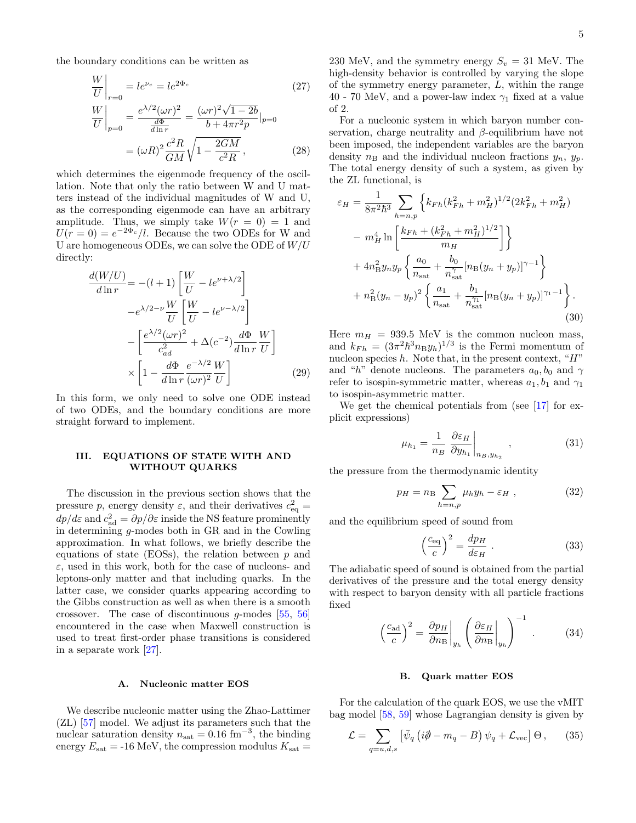the boundary conditions can be written as

$$
\frac{W}{U}\Big|_{r=0} = le^{\nu_c} = le^{2\Phi_c}
$$
\n(27)  
\n
$$
\frac{W}{U}\Big|_{p=0} = \frac{e^{\lambda/2}(\omega r)^2}{\frac{d\Phi}{d\ln r}} = \frac{(\omega r)^2 \sqrt{1 - 2b}}{b + 4\pi r^2 p}\Big|_{p=0}
$$
\n
$$
= (\omega R)^2 \frac{c^2 R}{GM} \sqrt{1 - \frac{2GM}{c^2 R}},
$$
\n(28)

which determines the eigenmode frequency of the oscillation. Note that only the ratio between W and U matters instead of the individual magnitudes of W and U, as the corresponding eigenmode can have an arbitrary amplitude. Thus, we simply take  $W(r = 0) = 1$  and  $U(r=0) = e^{-2\Phi_c}/l$ . Because the two ODEs for W and U are homogeneous ODEs, we can solve the ODE of  $W/U$ directly:

$$
\frac{d(W/U)}{d\ln r} = -(l+1)\left[\frac{W}{U} - le^{\nu+\lambda/2}\right]
$$

$$
-e^{\lambda/2-\nu}\frac{W}{U}\left[\frac{W}{U} - le^{\nu-\lambda/2}\right]
$$

$$
-\left[\frac{e^{\lambda/2}(\omega r)^2}{c_{ad}^2} + \Delta(c^{-2})\frac{d\Phi}{d\ln r}\frac{W}{U}\right]
$$

$$
\times \left[1 - \frac{d\Phi}{d\ln r}\frac{e^{-\lambda/2}W}{(\omega r)^2U}\right]
$$
(29)

In this form, we only need to solve one ODE instead of two ODEs, and the boundary conditions are more straight forward to implement.

# <span id="page-4-0"></span>III. EQUATIONS OF STATE WITH AND WITHOUT QUARKS

The discussion in the previous section shows that the pressure p, energy density  $\varepsilon$ , and their derivatives  $c_{\text{eq}}^2 =$  $dp/d\varepsilon$  and  $c_{\text{ad}}^2 = \partial p/\partial \varepsilon$  inside the NS feature prominently in determining g-modes both in GR and in the Cowling approximation. In what follows, we briefly describe the equations of state (EOSs), the relation between  $p$  and  $\varepsilon$ , used in this work, both for the case of nucleons- and leptons-only matter and that including quarks. In the latter case, we consider quarks appearing according to the Gibbs construction as well as when there is a smooth crossover. The case of discontinuous g-modes [\[55,](#page-13-11) [56\]](#page-13-12) encountered in the case when Maxwell construction is used to treat first-order phase transitions is considered in a separate work [\[27\]](#page-12-22).

### A. Nucleonic matter EOS

We describe nucleonic matter using the Zhao-Lattimer (ZL) [\[57\]](#page-13-13) model. We adjust its parameters such that the nuclear saturation density  $n_{\text{sat}} = 0.16 \text{ fm}^{-3}$ , the binding energy  $E_{\text{sat}} = -16 \text{ MeV}$ , the compression modulus  $K_{\text{sat}} =$ 

230 MeV, and the symmetry energy  $S_v = 31$  MeV. The high-density behavior is controlled by varying the slope of the symmetry energy parameter, L, within the range 40 - 70 MeV, and a power-law index  $\gamma_1$  fixed at a value of 2.

For a nucleonic system in which baryon number conservation, charge neutrality and  $\beta$ -equilibrium have not been imposed, the independent variables are the baryon density  $n<sub>B</sub>$  and the individual nucleon fractions  $y<sub>n</sub>$ ,  $y<sub>p</sub>$ . The total energy density of such a system, as given by the ZL functional, is

$$
\varepsilon_{H} = \frac{1}{8\pi^{2}\hbar^{3}} \sum_{h=n,p} \left\{ k_{Fh} (k_{Fh}^{2} + m_{H}^{2})^{1/2} (2k_{Fh}^{2} + m_{H}^{2}) \right. \\ - m_{H}^{4} \ln \left[ \frac{k_{Fh} + (k_{Fh}^{2} + m_{H}^{2})^{1/2}}{m_{H}} \right] \right\} \\ + 4n_{\text{B}}^{2} y_{n} y_{p} \left\{ \frac{a_{0}}{n_{\text{sat}}} + \frac{b_{0}}{n_{\text{sat}}^{7}} [n_{\text{B}}(y_{n} + y_{p})]^{\gamma - 1} \right\} \\ + n_{\text{B}}^{2} (y_{n} - y_{p})^{2} \left\{ \frac{a_{1}}{n_{\text{sat}}} + \frac{b_{1}}{n_{\text{sat}}^{7}} [n_{\text{B}}(y_{n} + y_{p})]^{\gamma_{1} - 1} \right\} . \tag{30}
$$

Here  $m_H = 939.5$  MeV is the common nucleon mass, and  $k_{Fh} = (3\pi^2 h^3 n_B y_h)^{1/3}$  is the Fermi momentum of nucleon species  $h$ . Note that, in the present context, " $H$ " and "h" denote nucleons. The parameters  $a_0, b_0$  and  $\gamma$ refer to isospin-symmetric matter, whereas  $a_1, b_1$  and  $\gamma_1$ to isospin-asymmetric matter.

We get the chemical potentials from (see [\[17\]](#page-12-12) for explicit expressions)

$$
\mu_{h_1} = \frac{1}{n_B} \left. \frac{\partial \varepsilon_H}{\partial y_{h_1}} \right|_{n_B, y_{h_2}}, \qquad (31)
$$

the pressure from the thermodynamic identity

$$
p_H = n_B \sum_{h=n,p} \mu_h y_h - \varepsilon_H , \qquad (32)
$$

and the equilibrium speed of sound from

$$
\left(\frac{c_{\text{eq}}}{c}\right)^2 = \frac{dp_H}{d\varepsilon_H} \tag{33}
$$

The adiabatic speed of sound is obtained from the partial derivatives of the pressure and the total energy density with respect to baryon density with all particle fractions fixed

$$
\left(\frac{c_{\rm ad}}{c}\right)^2 = \left.\frac{\partial p_H}{\partial n_B}\right|_{y_h} \left(\left.\frac{\partial \varepsilon_H}{\partial n_B}\right|_{y_h}\right)^{-1} . \tag{34}
$$

### B. Quark matter EOS

For the calculation of the quark EOS, we use the vMIT bag model [\[58,](#page-13-14) [59\]](#page-13-15) whose Lagrangian density is given by

$$
\mathcal{L} = \sum_{q=u,d,s} \left[ \bar{\psi}_q \left( i\partial - m_q - B \right) \psi_q + \mathcal{L}_{\text{vec}} \right] \Theta \,, \qquad (35)
$$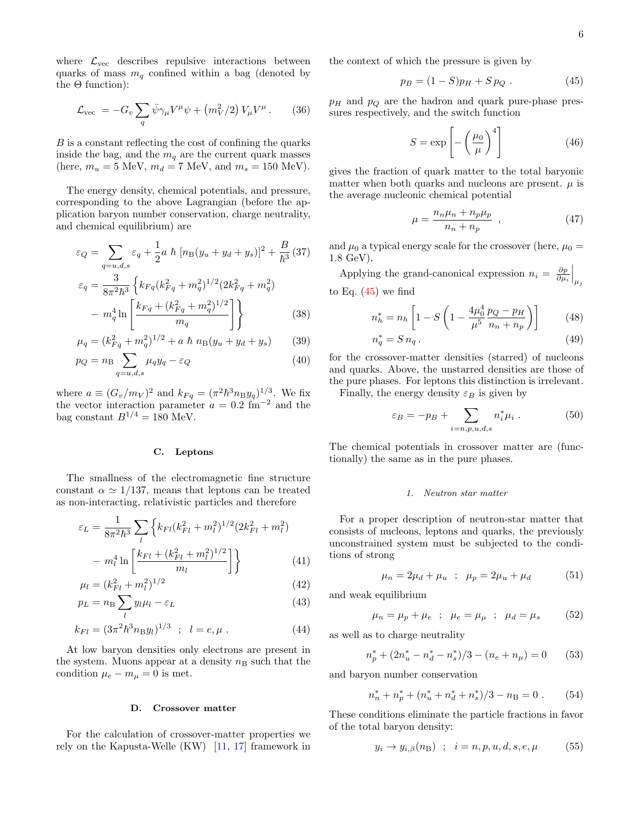where  $\mathcal{L}_{\text{vec}}$  describes repulsive interactions between quarks of mass  $m_q$  confined within a bag (denoted by the  $\Theta$  function):

$$
\mathcal{L}_{\text{vec}} = -G_v \sum_q \bar{\psi} \gamma_\mu V^\mu \psi + \left( m_V^2 / 2 \right) V_\mu V^\mu. \qquad (36)
$$

B is a constant reflecting the cost of confining the quarks inside the bag, and the  $m_q$  are the current quark masses (here,  $m_u = 5$  MeV,  $m_d = 7$  MeV, and  $m_s = 150$  MeV).

The energy density, chemical potentials, and pressure, corresponding to the above Lagrangian (before the application baryon number conservation, charge neutrality, and chemical equilibrium) are

$$
\varepsilon_Q = \sum_{q=u,d,s} \varepsilon_q + \frac{1}{2} a \hbar \left[ n \mathbf{B} (y_u + y_d + y_s) \right]^2 + \frac{B}{\hbar^3} (37)
$$
  

$$
\varepsilon_q = \frac{3}{8\pi^2 \hbar^3} \left\{ k_{Fq} (k_{Fq}^2 + m_q^2)^{1/2} (2k_{Fq}^2 + m_q^2) - m_q^4 \ln \left[ \frac{k_{Fq} + (k_{Fq}^2 + m_q^2)^{1/2}}{m_q} \right] \right\}
$$
(38)

$$
\mu_q = (k_{Fq}^2 + m_q^2)^{1/2} + a \hbar n_B (y_u + y_d + y_s) \qquad (39)
$$

$$
p_Q = n_B \sum_{q=u,d,s} \mu_q y_q - \varepsilon_Q \tag{40}
$$

where  $a \equiv (G_v/m_V)^2$  and  $k_{Fq} = (\pi^2 \hbar^3 n_B y_q)^{1/3}$ . We fix the vector interaction parameter  $a = 0.2$  fm<sup>-2</sup> and the bag constant  $B^{1/4} = 180$  MeV.

### C. Leptons

The smallness of the electromagnetic fine structure constant  $\alpha \simeq 1/137$ , means that leptons can be treated as non-interacting, relativistic particles and therefore

$$
\varepsilon_L = \frac{1}{8\pi^2 \hbar^3} \sum_{l} \left\{ k_{Fl}(k_{Fl}^2 + m_l^2)^{1/2} (2k_{Fl}^2 + m_l^2) - m_l^4 \ln \left[ \frac{k_{Fl} + (k_{Fl}^2 + m_l^2)^{1/2}}{m_l} \right] \right\}
$$
(41)

$$
\mu_l = (k_{Fl}^2 + m_l^2)^{1/2} \tag{42}
$$

$$
p_L = n \, \sum_l y_l \mu_l - \varepsilon_L \tag{43}
$$

$$
k_{Fl} = (3\pi^2 \hbar^3 n_{\rm B} y_l)^{1/3} \quad ; \quad l = e, \mu \; . \tag{44}
$$

At low baryon densities only electrons are present in the system. Muons appear at a density  $n<sub>B</sub>$  such that the condition  $\mu_e - m_\mu = 0$  is met.

### D. Crossover matter

For the calculation of crossover-matter properties we rely on the Kapusta-Welle (KW) [\[11,](#page-12-8) [17\]](#page-12-12) framework in the context of which the pressure is given by

<span id="page-5-0"></span>
$$
p_B = (1 - S)p_H + S p_Q . \t\t(45)
$$

 $p_H$  and  $p_Q$  are the hadron and quark pure-phase pressures respectively, and the switch function

$$
S = \exp\left[-\left(\frac{\mu_0}{\mu}\right)^4\right] \tag{46}
$$

gives the fraction of quark matter to the total baryonic matter when both quarks and nucleons are present.  $\mu$  is the average nucleonic chemical potential

$$
\mu = \frac{n_n \mu_n + n_p \mu_p}{n_n + n_p} \quad , \tag{47}
$$

and  $\mu_0$  a typical energy scale for the crossover (here,  $\mu_0 =$ 1.8 GeV).

Applying the grand-canonical expression  $n_i = \frac{\partial p}{\partial \mu_i} \Big|_{\mu_j}$ to Eq.  $(45)$  we find

$$
n_h^* = n_h \left[ 1 - S \left( 1 - \frac{4\mu_0^4}{\mu^5} \frac{p_Q - p_H}{n_n + n_p} \right) \right]
$$
 (48)

$$
n_q^* = S n_q. \tag{49}
$$

for the crossover-matter densities (starred) of nucleons and quarks. Above, the unstarred densities are those of the pure phases. For leptons this distinction is irrelevant.

Finally, the energy density  $\varepsilon_B$  is given by

$$
\varepsilon_B = -p_B + \sum_{i=n, p, u, d, s} n_i^* \mu_i . \tag{50}
$$

The chemical potentials in crossover matter are (functionally) the same as in the pure phases.

### 1. Neutron star matter

For a proper description of neutron-star matter that consists of nucleons, leptons and quarks, the previously unconstrained system must be subjected to the conditions of strong

$$
\mu_n = 2\mu_d + \mu_u \; ; \; \mu_p = 2\mu_u + \mu_d \tag{51}
$$

and weak equilibrium

$$
\mu_n = \mu_p + \mu_e \; ; \; \mu_e = \mu_\mu \; ; \; \mu_d = \mu_s \qquad (52)
$$

as well as to charge neutrality

$$
n_p^* + (2n_u^* - n_d^* - n_s^*)/3 - (n_e + n_\mu) = 0 \qquad (53)
$$

and baryon number conservation

$$
n_n^* + n_p^* + (n_u^* + n_d^* + n_s^*)/3 - n_\text{B} = 0. \qquad (54)
$$

These conditions eliminate the particle fractions in favor of the total baryon density:

$$
y_i \to y_{i,\beta}(n_\mathcal{B}) \quad ; \quad i = n, p, u, d, s, e, \mu \tag{55}
$$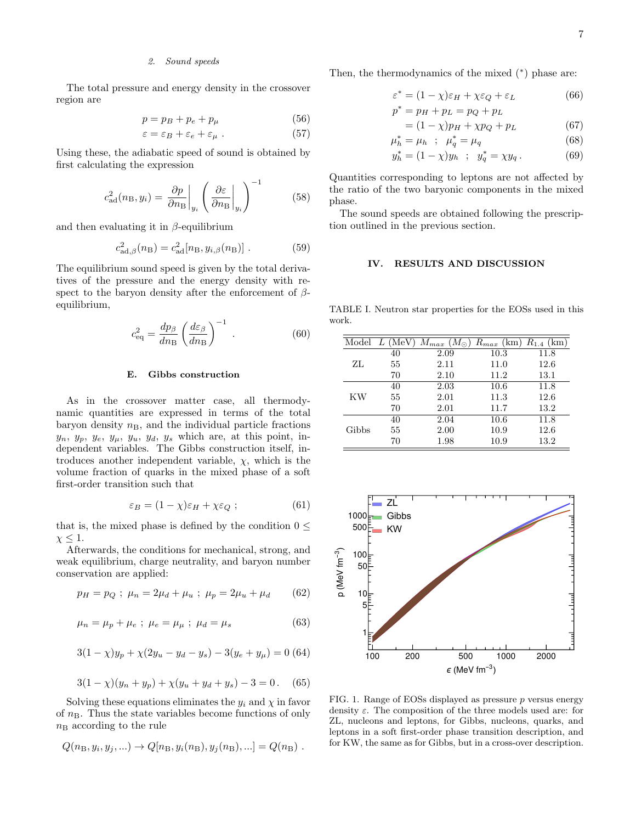### 2. Sound speeds

The total pressure and energy density in the crossover region are

$$
p = p_B + p_e + p_\mu \tag{56}
$$

$$
\varepsilon = \varepsilon_B + \varepsilon_e + \varepsilon_\mu . \tag{57}
$$

Using these, the adiabatic speed of sound is obtained by first calculating the expression

$$
c_{\rm ad}^2(n_{\rm B}, y_i) = \left. \frac{\partial p}{\partial n_{\rm B}} \right|_{y_i} \left( \left. \frac{\partial \varepsilon}{\partial n_{\rm B}} \right|_{y_i} \right)^{-1} \tag{58}
$$

and then evaluating it in  $\beta$ -equilibrium

$$
c_{\text{ad},\beta}^2(n_{\text{B}}) = c_{\text{ad}}^2[n_{\text{B}},y_{i,\beta}(n_{\text{B}})] . \tag{59}
$$

The equilibrium sound speed is given by the total derivatives of the pressure and the energy density with respect to the baryon density after the enforcement of  $\beta$ equilibrium,

$$
c_{\text{eq}}^2 = \frac{dp_\beta}{dn_\text{B}} \left(\frac{d\varepsilon_\beta}{dn_\text{B}}\right)^{-1} \,. \tag{60}
$$

### E. Gibbs construction

As in the crossover matter case, all thermodynamic quantities are expressed in terms of the total baryon density  $n_{\rm B}$ , and the individual particle fractions  $y_n, y_p, y_e, y_\mu, y_u, y_d, y_s$  which are, at this point, independent variables. The Gibbs construction itself, introduces another independent variable,  $\chi$ , which is the volume fraction of quarks in the mixed phase of a soft first-order transition such that

$$
\varepsilon_B = (1 - \chi)\varepsilon_H + \chi\varepsilon_Q \tag{61}
$$

that is, the mixed phase is defined by the condition  $0 \leq$  $\chi \leq 1$ .

Afterwards, the conditions for mechanical, strong, and weak equilibrium, charge neutrality, and baryon number conservation are applied:

$$
p_H = p_Q \; ; \; \mu_n = 2\mu_d + \mu_u \; ; \; \mu_p = 2\mu_u + \mu_d \qquad (62)
$$

$$
\mu_n = \mu_p + \mu_e \; ; \; \mu_e = \mu_\mu \; ; \; \mu_d = \mu_s \tag{63}
$$

$$
3(1 - \chi)y_p + \chi(2y_u - y_d - y_s) - 3(y_e + y_\mu) = 0
$$
 (64)

$$
3(1 - \chi)(y_n + y_p) + \chi(y_u + y_d + y_s) - 3 = 0. \quad (65)
$$

Solving these equations eliminates the  $y_i$  and  $\chi$  in favor of  $n<sub>B</sub>$ . Thus the state variables become functions of only  $n<sub>B</sub>$  according to the rule

$$
Q(n_{\rm B}, y_i, y_j, ...) \rightarrow Q[n_{\rm B}, y_i(n_{\rm B}), y_j(n_{\rm B}),...] = Q(n_{\rm B})
$$
.

Then, the thermodynamics of the mixed  $(*)$  phase are:

$$
\varepsilon^* = (1 - \chi)\varepsilon_H + \chi\varepsilon_Q + \varepsilon_L \tag{66}
$$

$$
p^* = p_H + p_L = p_Q + p_L
$$

$$
= (1 - \chi)p_H + \chi p_Q + p_L \tag{67}
$$

$$
\mu_h^* = \mu_h \; ; \; \mu_q^* = \mu_q \tag{68}
$$

$$
y_h^* = (1 - \chi)y_h \; ; \; y_q^* = \chi y_q. \tag{69}
$$

Quantities corresponding to leptons are not affected by the ratio of the two baryonic components in the mixed phase.

The sound speeds are obtained following the prescription outlined in the previous section.

# <span id="page-6-2"></span><span id="page-6-0"></span>IV. RESULTS AND DISCUSSION

TABLE I. Neutron star properties for the EOSs used in this work.

| Model | $L$ (MeV | $M_{max}$<br>$(M_{\odot})$ | $R_{max}$<br>(km) | $R_{1.4}$<br>(km) |
|-------|----------|----------------------------|-------------------|-------------------|
|       | 40       | 2.09                       | 10.3              | 11.8              |
| ZL    | 55       | 2.11                       | 11.0              | 12.6              |
|       | 70       | 2.10                       | 11.2              | 13.1              |
|       | 40       | 2.03                       | 10.6              | 11.8              |
| KW    | 55       | 2.01                       | 11.3              | 12.6              |
|       | 70       | 2.01                       | 11.7              | 13.2              |
|       | 40       | 2.04                       | 10.6              | 11.8              |
| Gibbs | 55       | 2.00                       | 10.9              | 12.6              |
|       | 70       | 1.98                       | 10.9              | 13.2              |



<span id="page-6-1"></span>FIG. 1. Range of EOSs displayed as pressure p versus energy density  $\varepsilon$ . The composition of the three models used are: for ZL, nucleons and leptons, for Gibbs, nucleons, quarks, and leptons in a soft first-order phase transition description, and for KW, the same as for Gibbs, but in a cross-over description.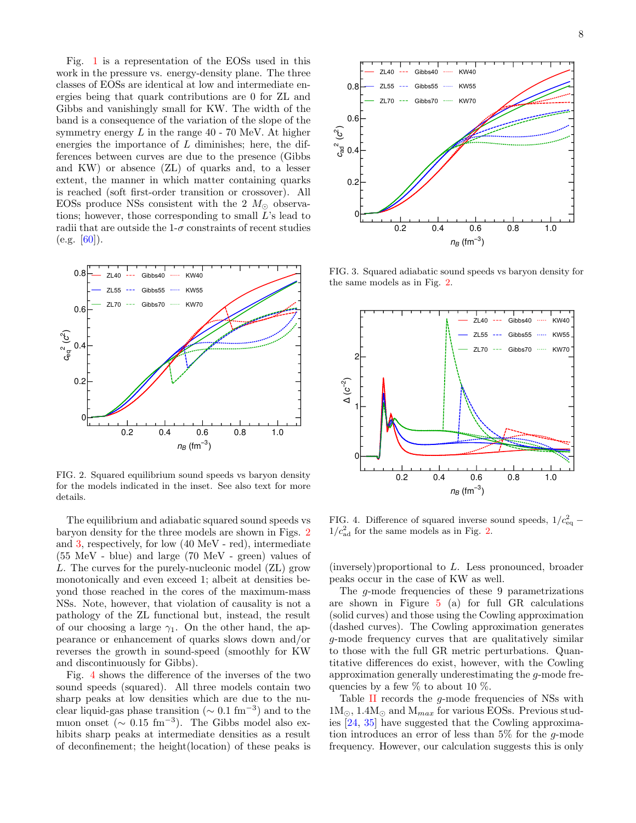Fig. [1](#page-6-1) is a representation of the EOSs used in this work in the pressure vs. energy-density plane. The three classes of EOSs are identical at low and intermediate energies being that quark contributions are 0 for ZL and Gibbs and vanishingly small for KW. The width of the band is a consequence of the variation of the slope of the symmetry energy  $L$  in the range  $40$  - 70 MeV. At higher energies the importance of  $L$  diminishes; here, the differences between curves are due to the presence (Gibbs and KW) or absence (ZL) of quarks and, to a lesser extent, the manner in which matter containing quarks is reached (soft first-order transition or crossover). All EOSs produce NSs consistent with the 2  $M_{\odot}$  observations; however, those corresponding to small  $L$ 's lead to radii that are outside the  $1-\sigma$  constraints of recent studies  $(e.g. [60]).$  $(e.g. [60]).$  $(e.g. [60]).$ 



<span id="page-7-0"></span>FIG. 2. Squared equilibrium sound speeds vs baryon density for the models indicated in the inset. See also text for more details.

The equilibrium and adiabatic squared sound speeds vs baryon density for the three models are shown in Figs. [2](#page-7-0) and [3,](#page-7-1) respectively, for low (40 MeV - red), intermediate (55 MeV - blue) and large (70 MeV - green) values of L. The curves for the purely-nucleonic model (ZL) grow monotonically and even exceed 1; albeit at densities beyond those reached in the cores of the maximum-mass NSs. Note, however, that violation of causality is not a pathology of the ZL functional but, instead, the result of our choosing a large  $\gamma_1$ . On the other hand, the appearance or enhancement of quarks slows down and/or reverses the growth in sound-speed (smoothly for KW and discontinuously for Gibbs).

Fig. [4](#page-7-2) shows the difference of the inverses of the two sound speeds (squared). All three models contain two sharp peaks at low densities which are due to the nuclear liquid-gas phase transition ( $\sim 0.1 \text{ fm}^{-3}$ ) and to the muon onset ( $\sim 0.15 \text{ fm}^{-3}$ ). The Gibbs model also exhibits sharp peaks at intermediate densities as a result of deconfinement; the height(location) of these peaks is



<span id="page-7-1"></span>FIG. 3. Squared adiabatic sound speeds vs baryon density for the same models as in Fig. [2.](#page-7-0)



<span id="page-7-2"></span>FIG. 4. Difference of squared inverse sound speeds,  $1/c_{\text{eq}}^2$  –  $1/c<sub>ad</sub><sup>2</sup>$  for the same models as in Fig. [2.](#page-7-0)

(inversely)proportional to L. Less pronounced, broader peaks occur in the case of KW as well.

The g-mode frequencies of these 9 parametrizations are shown in Figure [5](#page-8-0) (a) for full GR calculations (solid curves) and those using the Cowling approximation (dashed curves). The Cowling approximation generates g-mode frequency curves that are qualitatively similar to those with the full GR metric perturbations. Quantitative differences do exist, however, with the Cowling approximation generally underestimating the g-mode frequencies by a few  $\%$  to about 10  $\%$ .

Table [II](#page-8-1) records the g-mode frequencies of NSs with  $1\text{M}_{\odot}$ ,  $1.4\text{M}_{\odot}$  and  $\text{M}_{max}$  for various EOSs. Previous studies [\[24,](#page-12-20) [35\]](#page-12-33) have suggested that the Cowling approximation introduces an error of less than  $5\%$  for the q-mode frequency. However, our calculation suggests this is only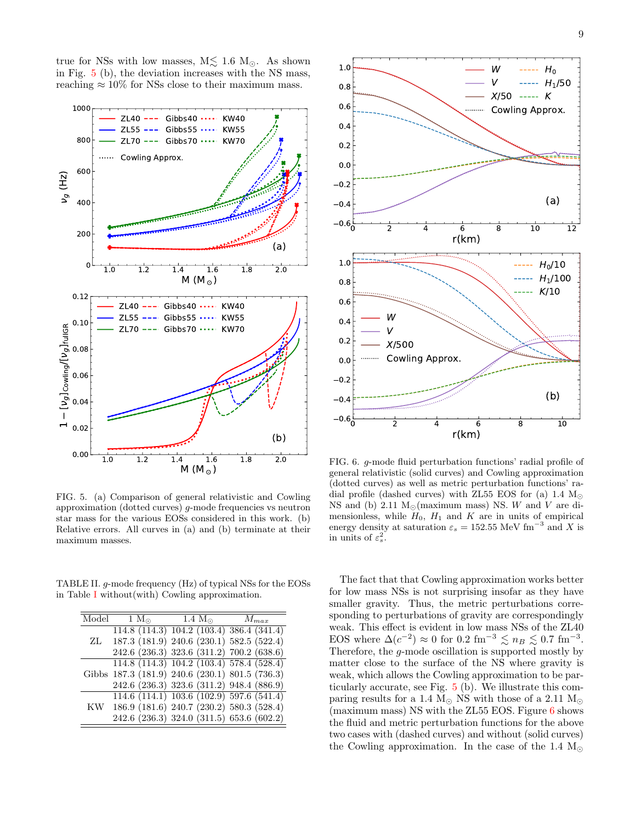true for NSs with low masses,  $M \lesssim 1.6$   $M_{\odot}$ . As shown in Fig. [5](#page-8-0) (b), the deviation increases with the NS mass, reaching  $\approx 10\%$  for NSs close to their maximum mass.



<span id="page-8-0"></span>FIG. 5. (a) Comparison of general relativistic and Cowling approximation (dotted curves)  $q$ -mode frequencies vs neutron star mass for the various EOSs considered in this work. (b) Relative errors. All curves in (a) and (b) terminate at their maximum masses.

TABLE II. g-mode frequency (Hz) of typical NSs for the EOSs in Table [I](#page-6-2) without(with) Cowling approximation.

<span id="page-8-1"></span>

| Model<br>$1 M_{\odot}$ $1.4 M_{\odot}$<br>$M_{max}$<br>114.8(114.3)104.2(103.4)386.4(341.4) |  |
|---------------------------------------------------------------------------------------------|--|
|                                                                                             |  |
|                                                                                             |  |
| 187.3 (181.9) 240.6 (230.1) 582.5 (522.4)<br>ZL                                             |  |
| 242.6 (236.3) 323.6 (311.2) 700.2 (638.6)                                                   |  |
| $114.8(114.3)$ $104.2(103.4)$ 578.4 (528.4)                                                 |  |
| Gibbs 187.3 (181.9) 240.6 (230.1) 801.5 (736.3)                                             |  |
| 242.6 (236.3) 323.6 (311.2) 948.4 (886.9)                                                   |  |
| $114.6$ (114.1) 103.6 (102.9) 597.6 (541.4)                                                 |  |
| 186.9 (181.6) 240.7 (230.2) 580.3 (528.4)<br>KW                                             |  |
| 242.6 (236.3) 324.0 (311.5) 653.6 (602.2)                                                   |  |



<span id="page-8-2"></span>FIG. 6. g-mode fluid perturbation functions' radial profile of general relativistic (solid curves) and Cowling approximation (dotted curves) as well as metric perturbation functions' radial profile (dashed curves) with ZL55 EOS for (a) 1.4  $M_{\odot}$ NS and (b) 2.11  $M_{\odot}$ (maximum mass) NS. W and V are dimensionless, while  $H_0$ ,  $H_1$  and  $K$  are in units of empirical energy density at saturation  $\varepsilon_s = 152.55 \text{ MeV fm}^{-3}$  and X is in units of  $\varepsilon_s^2$ .

The fact that that Cowling approximation works better for low mass NSs is not surprising insofar as they have smaller gravity. Thus, the metric perturbations corresponding to perturbations of gravity are correspondingly weak. This effect is evident in low mass NSs of the ZL40 EOS where  $\Delta(c^{-2}) \approx 0$  for  $0.2 \text{ fm}^{-3} \lesssim n_B \lesssim 0.7 \text{ fm}^{-3}$ . Therefore, the g-mode oscillation is supported mostly by matter close to the surface of the NS where gravity is weak, which allows the Cowling approximation to be particularly accurate, see Fig. [5](#page-8-0) (b). We illustrate this comparing results for a 1.4  $M_{\odot}$  NS with those of a 2.11  $M_{\odot}$  $(maximum mass)$  NS with the ZL55 EOS. Figure [6](#page-8-2) shows the fluid and metric perturbation functions for the above two cases with (dashed curves) and without (solid curves) the Cowling approximation. In the case of the 1.4  $\text{M}_{\odot}$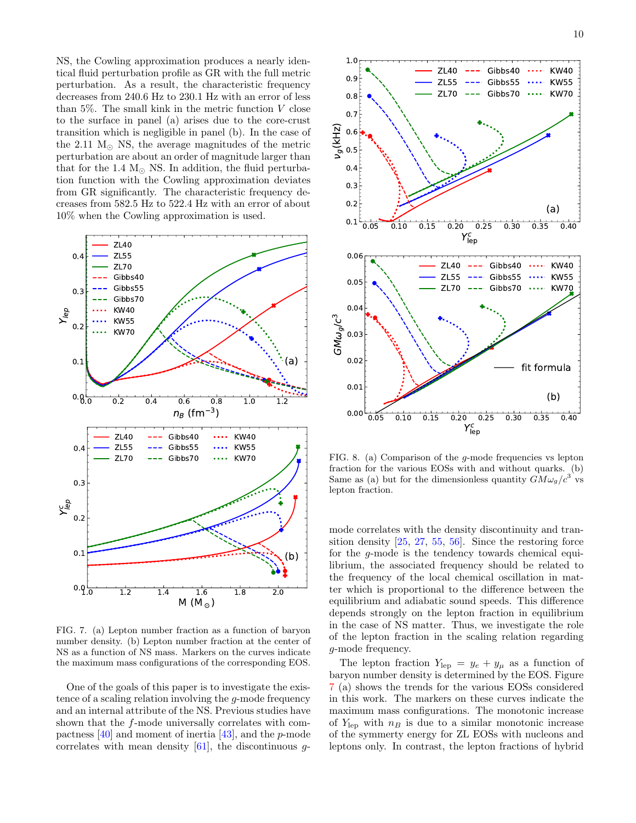NS, the Cowling approximation produces a nearly identical fluid perturbation profile as GR with the full metric perturbation. As a result, the characteristic frequency decreases from 240.6 Hz to 230.1 Hz with an error of less than  $5\%$ . The small kink in the metric function V close to the surface in panel (a) arises due to the core-crust transition which is negligible in panel (b). In the case of the 2.11  $M_{\odot}$  NS, the average magnitudes of the metric perturbation are about an order of magnitude larger than that for the 1.4  $M_{\odot}$  NS. In addition, the fluid perturbation function with the Cowling approximation deviates from GR significantly. The characteristic frequency decreases from 582.5 Hz to 522.4 Hz with an error of about 10% when the Cowling approximation is used.



<span id="page-9-0"></span>FIG. 7. (a) Lepton number fraction as a function of baryon number density. (b) Lepton number fraction at the center of NS as a function of NS mass. Markers on the curves indicate the maximum mass configurations of the corresponding EOS.

One of the goals of this paper is to investigate the existence of a scaling relation involving the g-mode frequency and an internal attribute of the NS. Previous studies have shown that the f-mode universally correlates with compactness [\[40\]](#page-12-36) and moment of inertia [\[43\]](#page-12-38), and the p-mode correlates with mean density  $[61]$ , the discontinuous q-



<span id="page-9-1"></span>FIG. 8. (a) Comparison of the g-mode frequencies vs lepton fraction for the various EOSs with and without quarks. (b) Same as (a) but for the dimensionless quantity  $GM\omega_g/c^3$  vs lepton fraction.

mode correlates with the density discontinuity and transition density [\[25,](#page-12-21) [27,](#page-12-22) [55,](#page-13-11) [56\]](#page-13-12). Since the restoring force for the g-mode is the tendency towards chemical equilibrium, the associated frequency should be related to the frequency of the local chemical oscillation in matter which is proportional to the difference between the equilibrium and adiabatic sound speeds. This difference depends strongly on the lepton fraction in equilibrium in the case of NS matter. Thus, we investigate the role of the lepton fraction in the scaling relation regarding g-mode frequency.

The lepton fraction  $Y_{\text{lep}} = y_e + y_\mu$  as a function of baryon number density is determined by the EOS. Figure [7](#page-9-0) (a) shows the trends for the various EOSs considered in this work. The markers on these curves indicate the maximum mass configurations. The monotonic increase of  $Y_{\text{lep}}$  with  $n_B$  is due to a similar monotonic increase of the symmerty energy for ZL EOSs with nucleons and leptons only. In contrast, the lepton fractions of hybrid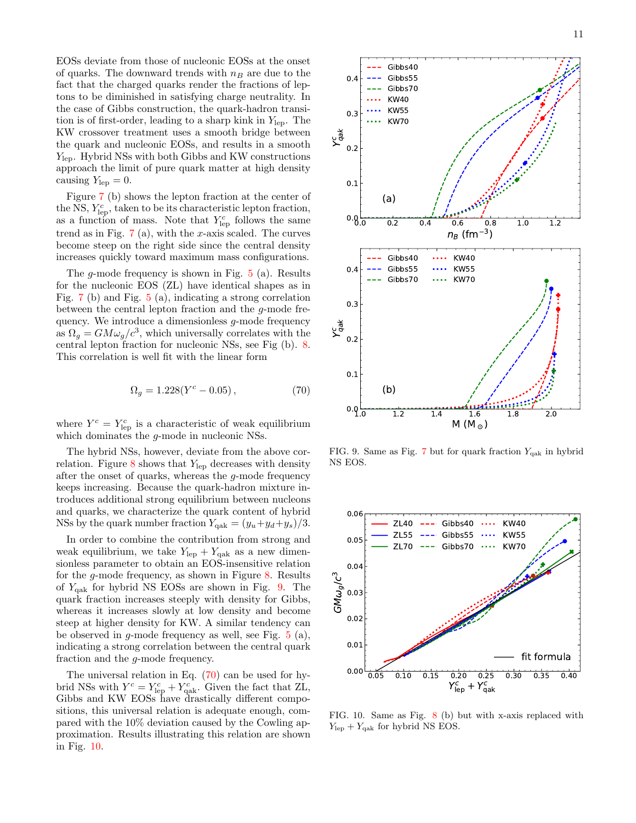EOSs deviate from those of nucleonic EOSs at the onset of quarks. The downward trends with  $n_B$  are due to the fact that the charged quarks render the fractions of leptons to be diminished in satisfying charge neutrality. In the case of Gibbs construction, the quark-hadron transition is of first-order, leading to a sharp kink in  $Y_{\text{lep}}$ . The KW crossover treatment uses a smooth bridge between the quark and nucleonic EOSs, and results in a smooth  $Y_{\text{lep}}$ . Hybrid NSs with both Gibbs and KW constructions approach the limit of pure quark matter at high density causing  $Y_{\rm lep} = 0$ .

Figure [7](#page-9-0) (b) shows the lepton fraction at the center of the NS,  $Y_{\text{lep}}^c$ , taken to be its characteristic lepton fraction, as a function of mass. Note that  $Y_{\text{lep}}^c$  follows the same trend as in Fig.  $7(a)$  $7(a)$ , with the x-axis scaled. The curves become steep on the right side since the central density increases quickly toward maximum mass configurations.

The g-mode frequency is shown in Fig.  $5$  (a). Results for the nucleonic EOS (ZL) have identical shapes as in Fig. [7](#page-9-0) (b) and Fig. [5](#page-8-0) (a), indicating a strong correlation between the central lepton fraction and the g-mode frequency. We introduce a dimensionless g-mode frequency as  $\Omega_g = GM\omega_g/c^3$ , which universally correlates with the central lepton fraction for nucleonic NSs, see Fig (b). [8.](#page-9-1) This correlation is well fit with the linear form

<span id="page-10-1"></span>
$$
\Omega_g = 1.228(Y^c - 0.05),\tag{70}
$$

where  $Y^c = Y_{\text{lep}}^c$  is a characteristic of weak equilibrium which dominates the  $g$ -mode in nucleonic NSs.

The hybrid NSs, however, deviate from the above correlation. Figure  $8$  shows that  $Y_{\text{lep}}$  decreases with density after the onset of quarks, whereas the g-mode frequency keeps increasing. Because the quark-hadron mixture introduces additional strong equilibrium between nucleons and quarks, we characterize the quark content of hybrid NSs by the quark number fraction  $Y_{\text{qak}} = (y_u + y_d + y_s)/3$ .

In order to combine the contribution from strong and weak equilibrium, we take  $Y_{\text{lep}} + Y_{\text{qak}}$  as a new dimensionless parameter to obtain an EOS-insensitive relation for the g-mode frequency, as shown in Figure [8.](#page-9-1) Results of  $Y_{\text{qak}}$  for hybrid NS EOSs are shown in Fig. [9.](#page-10-0) The quark fraction increases steeply with density for Gibbs, whereas it increases slowly at low density and become steep at higher density for KW. A similar tendency can be observed in  $g$ -mode frequency as well, see Fig.  $5$  (a), indicating a strong correlation between the central quark fraction and the g-mode frequency.

The universal relation in Eq.  $(70)$  can be used for hybrid NSs with  $Y^c = Y_{\text{lep}}^c + Y_{\text{qak}}^c$ . Given the fact that ZL, Gibbs and KW EOSs have drastically different compositions, this universal relation is adequate enough, compared with the 10% deviation caused by the Cowling approximation. Results illustrating this relation are shown in Fig. [10.](#page-10-2)



<span id="page-10-0"></span>FIG. 9. Same as Fig. [7](#page-9-0) but for quark fraction  $Y_{\text{qak}}$  in hybrid NS EOS.



<span id="page-10-2"></span>FIG. 10. Same as Fig. [8](#page-9-1) (b) but with x-axis replaced with  $Y_{\text{lep}} + Y_{\text{qak}}$  for hybrid NS EOS.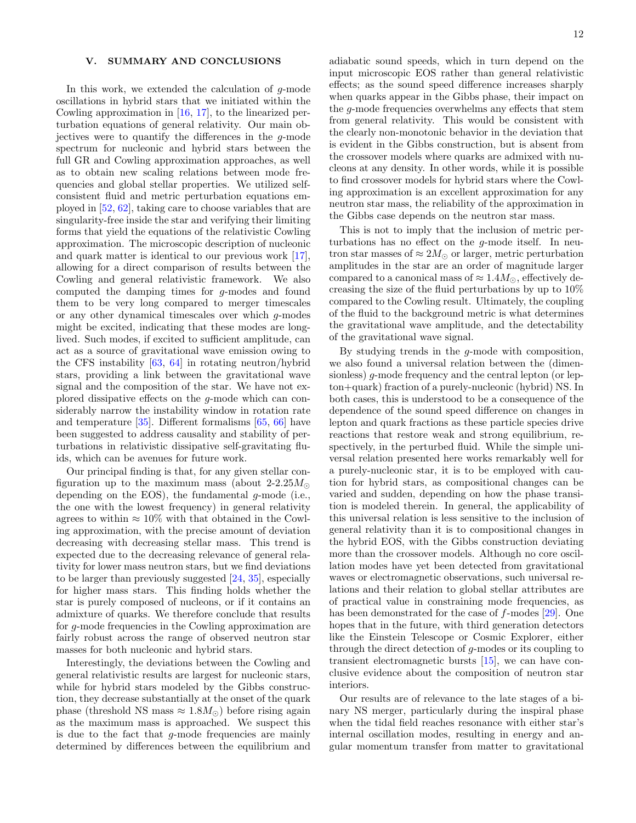# <span id="page-11-0"></span>V. SUMMARY AND CONCLUSIONS

In this work, we extended the calculation of g-mode oscillations in hybrid stars that we initiated within the Cowling approximation in [\[16,](#page-12-18) [17\]](#page-12-12), to the linearized perturbation equations of general relativity. Our main objectives were to quantify the differences in the g-mode spectrum for nucleonic and hybrid stars between the full GR and Cowling approximation approaches, as well as to obtain new scaling relations between mode frequencies and global stellar properties. We utilized selfconsistent fluid and metric perturbation equations employed in [\[52,](#page-13-8) [62\]](#page-13-18), taking care to choose variables that are singularity-free inside the star and verifying their limiting forms that yield the equations of the relativistic Cowling approximation. The microscopic description of nucleonic and quark matter is identical to our previous work [\[17\]](#page-12-12), allowing for a direct comparison of results between the Cowling and general relativistic framework. We also computed the damping times for g-modes and found them to be very long compared to merger timescales or any other dynamical timescales over which g-modes might be excited, indicating that these modes are longlived. Such modes, if excited to sufficient amplitude, can act as a source of gravitational wave emission owing to the CFS instability [\[63,](#page-13-19) [64\]](#page-13-20) in rotating neutron/hybrid stars, providing a link between the gravitational wave signal and the composition of the star. We have not explored dissipative effects on the g-mode which can considerably narrow the instability window in rotation rate and temperature [\[35\]](#page-12-33). Different formalisms [\[65,](#page-13-21) [66\]](#page-13-22) have been suggested to address causality and stability of perturbations in relativistic dissipative self-gravitating fluids, which can be avenues for future work.

Our principal finding is that, for any given stellar configuration up to the maximum mass (about 2-2.25 $M_{\odot}$ ) depending on the EOS), the fundamental g-mode (i.e., the one with the lowest frequency) in general relativity agrees to within  $\approx 10\%$  with that obtained in the Cowling approximation, with the precise amount of deviation decreasing with decreasing stellar mass. This trend is expected due to the decreasing relevance of general relativity for lower mass neutron stars, but we find deviations to be larger than previously suggested [\[24,](#page-12-20) [35\]](#page-12-33), especially for higher mass stars. This finding holds whether the star is purely composed of nucleons, or if it contains an admixture of quarks. We therefore conclude that results for g-mode frequencies in the Cowling approximation are fairly robust across the range of observed neutron star masses for both nucleonic and hybrid stars.

Interestingly, the deviations between the Cowling and general relativistic results are largest for nucleonic stars, while for hybrid stars modeled by the Gibbs construction, they decrease substantially at the onset of the quark phase (threshold NS mass  $\approx 1.8 M_{\odot}$ ) before rising again as the maximum mass is approached. We suspect this is due to the fact that  $q$ -mode frequencies are mainly determined by differences between the equilibrium and

adiabatic sound speeds, which in turn depend on the input microscopic EOS rather than general relativistic effects; as the sound speed difference increases sharply when quarks appear in the Gibbs phase, their impact on the g-mode frequencies overwhelms any effects that stem from general relativity. This would be consistent with the clearly non-monotonic behavior in the deviation that is evident in the Gibbs construction, but is absent from the crossover models where quarks are admixed with nucleons at any density. In other words, while it is possible to find crossover models for hybrid stars where the Cowling approximation is an excellent approximation for any neutron star mass, the reliability of the approximation in the Gibbs case depends on the neutron star mass.

This is not to imply that the inclusion of metric perturbations has no effect on the g-mode itself. In neutron star masses of  $\approx 2M_{\odot}$  or larger, metric perturbation amplitudes in the star are an order of magnitude larger compared to a canonical mass of  $\approx 1.4 M_{\odot}$ , effectively decreasing the size of the fluid perturbations by up to 10% compared to the Cowling result. Ultimately, the coupling of the fluid to the background metric is what determines the gravitational wave amplitude, and the detectability of the gravitational wave signal.

By studying trends in the g-mode with composition, we also found a universal relation between the (dimensionless) g-mode frequency and the central lepton (or lepton+quark) fraction of a purely-nucleonic (hybrid) NS. In both cases, this is understood to be a consequence of the dependence of the sound speed difference on changes in lepton and quark fractions as these particle species drive reactions that restore weak and strong equilibrium, respectively, in the perturbed fluid. While the simple universal relation presented here works remarkably well for a purely-nucleonic star, it is to be employed with caution for hybrid stars, as compositional changes can be varied and sudden, depending on how the phase transition is modeled therein. In general, the applicability of this universal relation is less sensitive to the inclusion of general relativity than it is to compositional changes in the hybrid EOS, with the Gibbs construction deviating more than the crossover models. Although no core oscillation modes have yet been detected from gravitational waves or electromagnetic observations, such universal relations and their relation to global stellar attributes are of practical value in constraining mode frequencies, as has been demonstrated for the case of f-modes [\[29\]](#page-12-24). One hopes that in the future, with third generation detectors like the Einstein Telescope or Cosmic Explorer, either through the direct detection of g-modes or its coupling to transient electromagnetic bursts [\[15\]](#page-12-27), we can have conclusive evidence about the composition of neutron star interiors.

Our results are of relevance to the late stages of a binary NS merger, particularly during the inspiral phase when the tidal field reaches resonance with either star's internal oscillation modes, resulting in energy and angular momentum transfer from matter to gravitational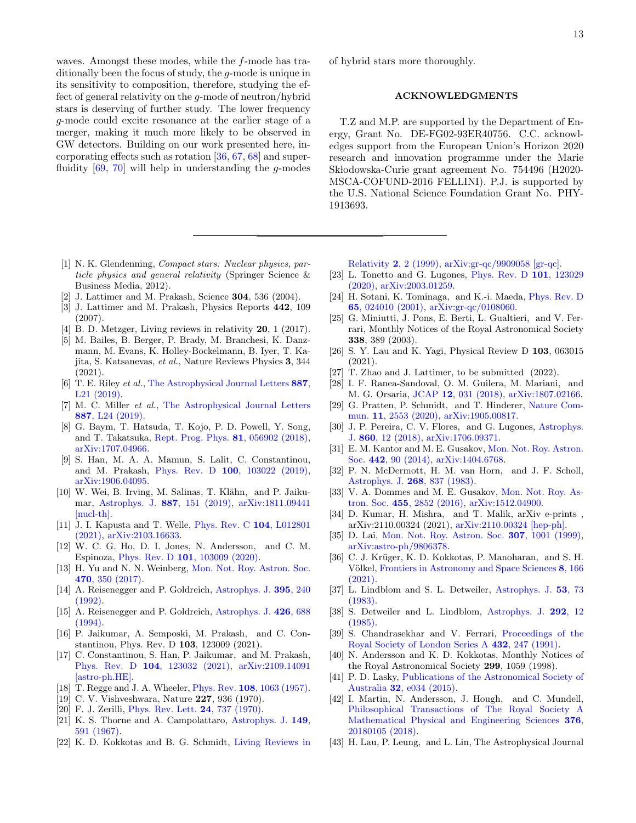waves. Amongst these modes, while the f-mode has traditionally been the focus of study, the g-mode is unique in its sensitivity to composition, therefore, studying the effect of general relativity on the g-mode of neutron/hybrid stars is deserving of further study. The lower frequency g-mode could excite resonance at the earlier stage of a merger, making it much more likely to be observed in GW detectors. Building on our work presented here, incorporating effects such as rotation [\[36,](#page-12-34) [67,](#page-13-23) [68\]](#page-13-24) and superfluidity  $[69, 70]$  $[69, 70]$  $[69, 70]$  will help in understanding the *q*-modes

- <span id="page-12-0"></span>[1] N. K. Glendenning, Compact stars: Nuclear physics, particle physics and general relativity (Springer Science & Business Media, 2012).
- <span id="page-12-1"></span>[2] J. Lattimer and M. Prakash, Science 304, 536 (2004).
- <span id="page-12-2"></span>[3] J. Lattimer and M. Prakash, Physics Reports 442, 109 (2007).
- <span id="page-12-3"></span>[4] B. D. Metzger, Living reviews in relativity **20**, 1 (2017).
- <span id="page-12-4"></span>[5] M. Bailes, B. Berger, P. Brady, M. Branchesi, K. Danzmann, M. Evans, K. Holley-Bockelmann, B. Iyer, T. Kajita, S. Katsanevas, et al., Nature Reviews Physics 3, 344 (2021).
- <span id="page-12-5"></span>[6] T. E. Riley et al., [The Astrophysical Journal Letters](http://dx.doi.org/10.3847/2041-8213/ab481c) 887, [L21 \(2019\).](http://dx.doi.org/10.3847/2041-8213/ab481c)
- <span id="page-12-6"></span>[7] M. C. Miller et al., [The Astrophysical Journal Letters](http://dx.doi.org/10.3847/2041-8213/ab50c5) 887[, L24 \(2019\).](http://dx.doi.org/10.3847/2041-8213/ab50c5)
- <span id="page-12-7"></span>[8] G. Baym, T. Hatsuda, T. Kojo, P. D. Powell, Y. Song, and T. Takatsuka, [Rept. Prog. Phys.](http://dx.doi.org/ 10.1088/1361-6633/aaae14) 81, 056902 (2018), [arXiv:1707.04966.](http://arxiv.org/abs/1707.04966)
- [9] S. Han, M. A. A. Mamun, S. Lalit, C. Constantinou, and M. Prakash, Phys. Rev. D 100[, 103022 \(2019\),](http://dx.doi.org/ 10.1103/PhysRevD.100.103022) [arXiv:1906.04095.](http://arxiv.org/abs/1906.04095)
- [10] W. Wei, B. Irving, M. Salinas, T. Klähn, and P. Jaikumar, [Astrophys. J.](http://dx.doi.org/ 10.3847/1538-4357/ab53ea) 887, 151 (2019), [arXiv:1811.09441](http://arxiv.org/abs/1811.09441) [\[nucl-th\].](http://arxiv.org/abs/1811.09441)
- <span id="page-12-8"></span>[11] J. I. Kapusta and T. Welle, [Phys. Rev. C](http://dx.doi.org/10.1103/PhysRevC.104.L012801) 104, L012801 [\(2021\),](http://dx.doi.org/10.1103/PhysRevC.104.L012801) [arXiv:2103.16633.](http://arxiv.org/abs/2103.16633)
- <span id="page-12-9"></span>[12] W. C. G. Ho, D. I. Jones, N. Andersson, and C. M. Espinoza, Phys. Rev. D 101[, 103009 \(2020\).](http://dx.doi.org/10.1103/PhysRevD.101.103009)
- <span id="page-12-10"></span>[13] H. Yu and N. N. Weinberg, [Mon. Not. Roy. Astron. Soc.](http://dx.doi.org/10.1093/mnras/stx1188) 470[, 350 \(2017\).](http://dx.doi.org/10.1093/mnras/stx1188)
- <span id="page-12-11"></span>[14] A. Reisenegger and P. Goldreich, [Astrophys. J.](http://dx.doi.org/10.1086/171645) 395, 240 [\(1992\).](http://dx.doi.org/10.1086/171645)
- <span id="page-12-27"></span>[15] A. Reisenegger and P. Goldreich, [Astrophys. J.](http://dx.doi.org/10.1086/174105) 426, 688 [\(1994\).](http://dx.doi.org/10.1086/174105)
- <span id="page-12-18"></span>[16] P. Jaikumar, A. Semposki, M. Prakash, and C. Constantinou, Phys. Rev. D 103, 123009 (2021).
- <span id="page-12-12"></span>[17] C. Constantinou, S. Han, P. Jaikumar, and M. Prakash, Phys. Rev. D 104[, 123032 \(2021\),](http://dx.doi.org/10.1103/PhysRevD.104.123032) [arXiv:2109.14091](http://arxiv.org/abs/2109.14091) [\[astro-ph.HE\].](http://arxiv.org/abs/2109.14091)
- <span id="page-12-13"></span>[18] T. Regge and J. A. Wheeler, Phys. Rev. 108[, 1063 \(1957\).](http://dx.doi.org/10.1103/PhysRev.108.1063)
- <span id="page-12-14"></span>[19] C. V. Vishveshwara, Nature 227, 936 (1970).
- <span id="page-12-15"></span>[20] F. J. Zerilli, [Phys. Rev. Lett.](http://dx.doi.org/10.1103/PhysRevLett.24.737) 24, 737 (1970).
- <span id="page-12-16"></span>[21] K. S. Thorne and A. Campolattaro, [Astrophys. J.](http://dx.doi.org/10.1086/149288) 149, [591 \(1967\).](http://dx.doi.org/10.1086/149288)
- <span id="page-12-17"></span>[22] K. D. Kokkotas and B. G. Schmidt, [Living Reviews in](http://dx.doi.org/10.12942/lrr-1999-2)

of hybrid stars more thoroughly.

# ACKNOWLEDGMENTS

T.Z and M.P. are supported by the Department of Energy, Grant No. DE-FG02-93ER40756. C.C. acknowledges support from the European Union's Horizon 2020 research and innovation programme under the Marie Sk lodowska-Curie grant agreement No. 754496 (H2020- MSCA-COFUND-2016 FELLINI). P.J. is supported by the U.S. National Science Foundation Grant No. PHY-1913693.

Relativity 2[, 2 \(1999\),](http://dx.doi.org/10.12942/lrr-1999-2) [arXiv:gr-qc/9909058 \[gr-qc\].](http://arxiv.org/abs/gr-qc/9909058)

- <span id="page-12-19"></span>[23] L. Tonetto and G. Lugones, [Phys. Rev. D](http://dx.doi.org/10.1103/PhysRevD.101.123029) 101, 123029 [\(2020\),](http://dx.doi.org/10.1103/PhysRevD.101.123029) [arXiv:2003.01259.](http://arxiv.org/abs/2003.01259)
- <span id="page-12-20"></span>[24] H. Sotani, K. Tominaga, and K.-i. Maeda, [Phys. Rev. D](http://dx.doi.org/10.1103/PhysRevD.65.024010) 65[, 024010 \(2001\),](http://dx.doi.org/10.1103/PhysRevD.65.024010) [arXiv:gr-qc/0108060.](http://arxiv.org/abs/gr-qc/0108060)
- <span id="page-12-21"></span>[25] G. Miniutti, J. Pons, E. Berti, L. Gualtieri, and V. Ferrari, Monthly Notices of the Royal Astronomical Society 338, 389 (2003).
- [26] S. Y. Lau and K. Yagi, Physical Review D 103, 063015 (2021).
- <span id="page-12-22"></span>[27] T. Zhao and J. Lattimer, to be submitted (2022).
- <span id="page-12-23"></span>[28] I. F. Ranea-Sandoval, O. M. Guilera, M. Mariani, and M. G. Orsaria, JCAP 12[, 031 \(2018\),](http://dx.doi.org/10.1088/1475-7516/2018/12/031) [arXiv:1807.02166.](http://arxiv.org/abs/1807.02166)
- <span id="page-12-24"></span>[29] G. Pratten, P. Schmidt, and T. Hinderer, [Nature Com](http://dx.doi.org/10.1038/s41467-020-15984-5)mun. 11[, 2553 \(2020\),](http://dx.doi.org/10.1038/s41467-020-15984-5) [arXiv:1905.00817.](http://arxiv.org/abs/1905.00817)
- <span id="page-12-25"></span>[30] J. P. Pereira, C. V. Flores, and G. Lugones, [Astrophys.](http://dx.doi.org/10.3847/1538-4357/aabfbf) J. 860[, 12 \(2018\),](http://dx.doi.org/10.3847/1538-4357/aabfbf) [arXiv:1706.09371.](http://arxiv.org/abs/1706.09371)
- <span id="page-12-28"></span>[31] E. M. Kantor and M. E. Gusakov, [Mon. Not. Roy. Astron.](http://dx.doi.org/10.1093/mnrasl/slu061) Soc. 442[, 90 \(2014\),](http://dx.doi.org/10.1093/mnrasl/slu061) [arXiv:1404.6768.](http://arxiv.org/abs/1404.6768)
- <span id="page-12-26"></span>[32] P. N. McDermott, H. M. van Horn, and J. F. Scholl, [Astrophys. J.](http://dx.doi.org/10.1086/161006) 268, 837 (1983).
- <span id="page-12-29"></span>[33] V. A. Dommes and M. E. Gusakov, [Mon. Not. Roy. As](http://dx.doi.org/10.1093/mnras/stv2408)tron. Soc. 455[, 2852 \(2016\),](http://dx.doi.org/10.1093/mnras/stv2408) [arXiv:1512.04900.](http://arxiv.org/abs/1512.04900)
- <span id="page-12-30"></span>[34] D. Kumar, H. Mishra, and T. Malik, arXiv e-prints , arXiv:2110.00324 (2021), [arXiv:2110.00324 \[hep-ph\].](http://arxiv.org/abs/2110.00324)
- <span id="page-12-33"></span>[35] D. Lai, [Mon. Not. Roy. Astron. Soc.](http://dx.doi.org/10.1046/j.1365-8711.1999.02723.x) **307**, 1001 (1999), [arXiv:astro-ph/9806378.](http://arxiv.org/abs/astro-ph/9806378)
- <span id="page-12-34"></span>[36] C. J. Krüger, K. D. Kokkotas, P. Manoharan, and S. H. Völkel, [Frontiers in Astronomy and Space Sciences](http://dx.doi.org/10.3389/fspas.2021.736918) 8, 166 [\(2021\).](http://dx.doi.org/10.3389/fspas.2021.736918)
- <span id="page-12-31"></span>[37] L. Lindblom and S. L. Detweiler, [Astrophys. J.](http://dx.doi.org/10.1086/190884) 53, 73 [\(1983\).](http://dx.doi.org/10.1086/190884)
- <span id="page-12-32"></span>[38] S. Detweiler and L. Lindblom, [Astrophys. J.](http://dx.doi.org/10.1086/163127) 292, 12 [\(1985\).](http://dx.doi.org/10.1086/163127)
- <span id="page-12-35"></span>[39] S. Chandrasekhar and V. Ferrari, [Proceedings of the](http://dx.doi.org/10.1098/rspa.1991.0016) [Royal Society of London Series A](http://dx.doi.org/10.1098/rspa.1991.0016) 432, 247 (1991).
- <span id="page-12-36"></span>[40] N. Andersson and K. D. Kokkotas, Monthly Notices of the Royal Astronomical Society 299, 1059 (1998).
- [41] P. D. Lasky, [Publications of the Astronomical Society of](http://dx.doi.org/10.1017/pasa.2015.35) Australia 32[, e034 \(2015\).](http://dx.doi.org/10.1017/pasa.2015.35)
- <span id="page-12-37"></span>[42] I. Martin, N. Andersson, J. Hough, and C. Mundell, [Philosophical Transactions of The Royal Society A](http://dx.doi.org/ 10.1098/rsta.2018.0105) [Mathematical Physical and Engineering Sciences](http://dx.doi.org/ 10.1098/rsta.2018.0105) 376, [20180105 \(2018\).](http://dx.doi.org/ 10.1098/rsta.2018.0105)
- <span id="page-12-38"></span>[43] H. Lau, P. Leung, and L. Lin, The Astrophysical Journal